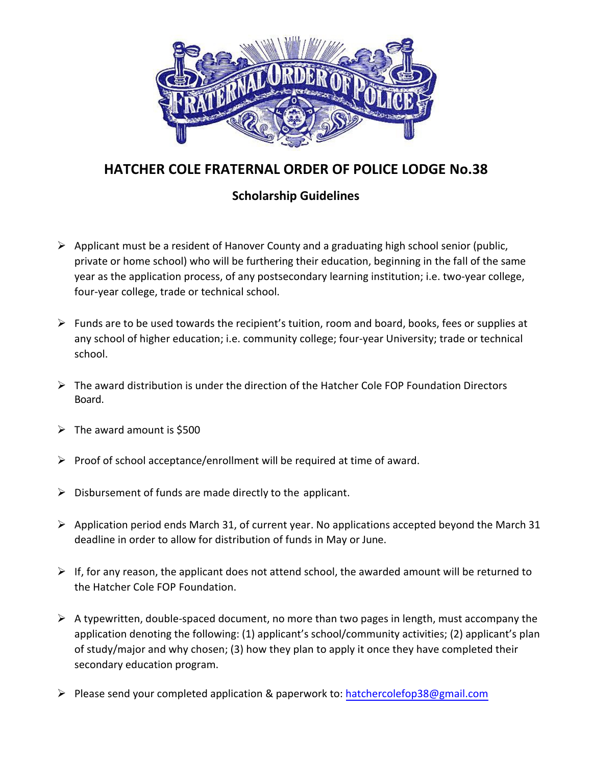

## **HATCHER COLE FRATERNAL ORDER OF POLICE LODGE No.38**

## **Scholarship Guidelines**

- $\triangleright$  Applicant must be a resident of Hanover County and a graduating high school senior (public, private or home school) who will be furthering their education, beginning in the fall of the same year as the application process, of any postsecondary learning institution; i.e. two-year college, four-year college, trade or technical school.
- $\triangleright$  Funds are to be used towards the recipient's tuition, room and board, books, fees or supplies at any school of higher education; i.e. community college; four-year University; trade or technical school.
- $\triangleright$  The award distribution is under the direction of the Hatcher Cole FOP Foundation Directors Board.
- $\triangleright$  The award amount is \$500
- $\triangleright$  Proof of school acceptance/enrollment will be required at time of award.
- $\triangleright$  Disbursement of funds are made directly to the applicant.
- $\triangleright$  Application period ends March 31, of current year. No applications accepted beyond the March 31 deadline in order to allow for distribution of funds in May or June.
- $\triangleright$  If, for any reason, the applicant does not attend school, the awarded amount will be returned to the Hatcher Cole FOP Foundation.
- $\triangleright$  A typewritten, double-spaced document, no more than two pages in length, must accompany the application denoting the following: (1) applicant's school/community activities; (2) applicant's plan of study/major and why chosen; (3) how they plan to apply it once they have completed their secondary education program.
- Please send your completed application & paperwork to: hatchercolefop38@gmail.com